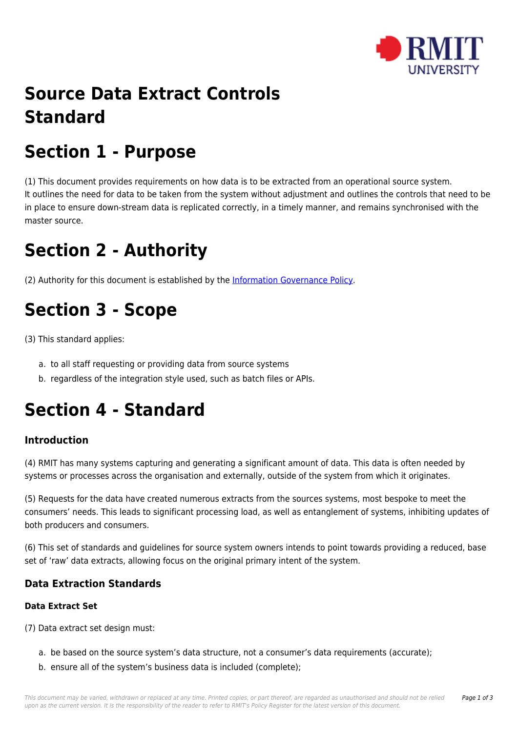

# **Source Data Extract Controls Standard**

# **Section 1 - Purpose**

(1) This document provides requirements on how data is to be extracted from an operational source system. It outlines the need for data to be taken from the system without adjustment and outlines the controls that need to be in place to ensure down-stream data is replicated correctly, in a timely manner, and remains synchronised with the master source.

### **Section 2 - Authority**

(2) Authority for this document is established by the [Information Governance Policy.](https://policies.rmit.edu.au/document/view.php?id=53)

# **Section 3 - Scope**

(3) This standard applies:

- a. to all staff requesting or providing data from source systems
- b. regardless of the integration style used, such as batch files or APIs.

# **Section 4 - Standard**

### **Introduction**

(4) RMIT has many systems capturing and generating a significant amount of data. This data is often needed by systems or processes across the organisation and externally, outside of the system from which it originates.

(5) Requests for the data have created numerous extracts from the sources systems, most bespoke to meet the consumers' needs. This leads to significant processing load, as well as entanglement of systems, inhibiting updates of both producers and consumers.

(6) This set of standards and guidelines for source system owners intends to point towards providing a reduced, base set of 'raw' data extracts, allowing focus on the original primary intent of the system.

### **Data Extraction Standards**

#### **Data Extract Set**

(7) Data extract set design must:

- a. be based on the source system's data structure, not a consumer's data requirements (accurate);
- b. ensure all of the system's business data is included (complete);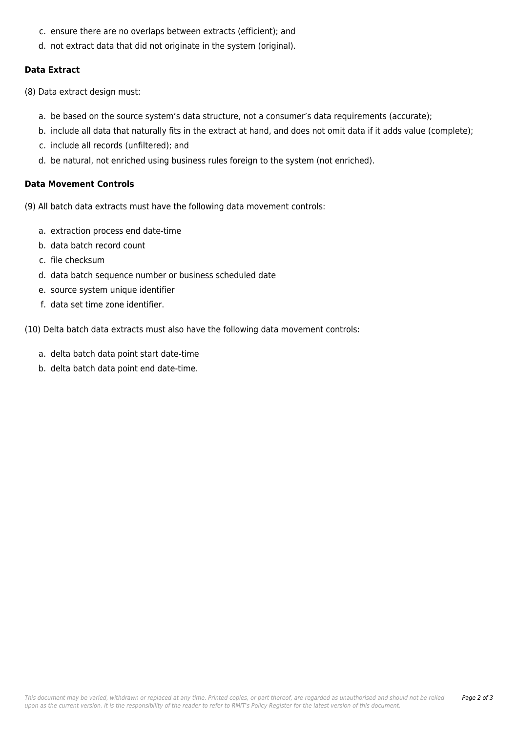- c. ensure there are no overlaps between extracts (efficient); and
- d. not extract data that did not originate in the system (original).

#### **Data Extract**

(8) Data extract design must:

- a. be based on the source system's data structure, not a consumer's data requirements (accurate);
- b. include all data that naturally fits in the extract at hand, and does not omit data if it adds value (complete);
- c. include all records (unfiltered); and
- d. be natural, not enriched using business rules foreign to the system (not enriched).

#### **Data Movement Controls**

(9) All batch data extracts must have the following data movement controls:

- a. extraction process end date-time
- b. data batch record count
- c. file checksum
- d. data batch sequence number or business scheduled date
- e. source system unique identifier
- f. data set time zone identifier.

(10) Delta batch data extracts must also have the following data movement controls:

- a. delta batch data point start date-time
- b. delta batch data point end date-time.